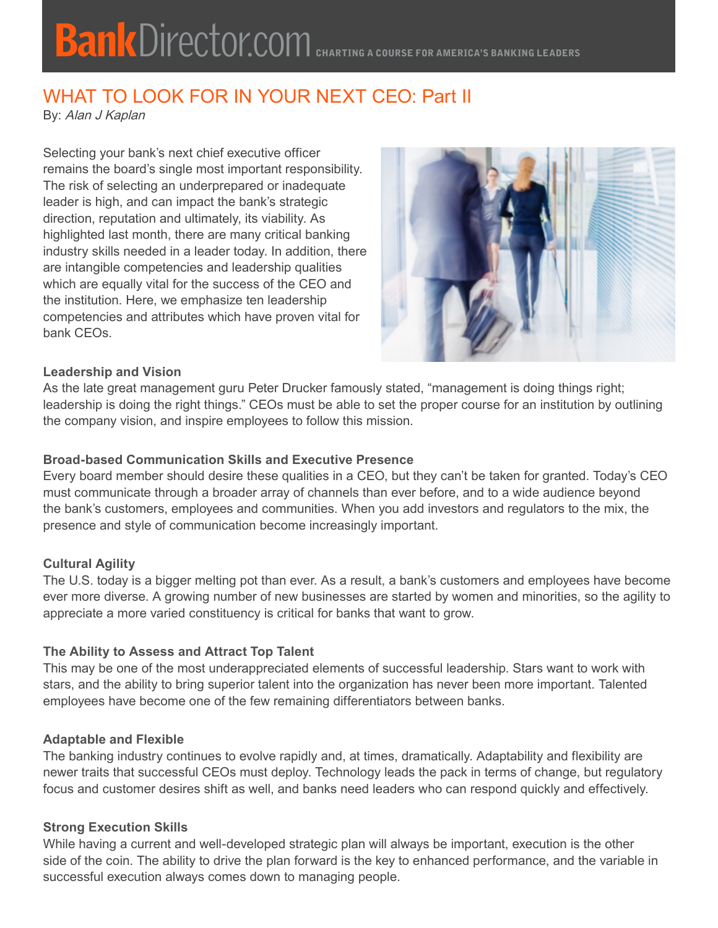# WHAT TO LOOK FOR IN YOUR NEXT CEO: Part II

By: Alan J Kaplan

Selecting your bank's next chief executive officer remains the board's single most important responsibility. The risk of selecting an underprepared or inadequate leader is high, and can impact the bank's strategic direction, reputation and ultimately, its viability. As highlighted last month, there are many critical banking industry skills needed in a leader today. In addition, there are intangible competencies and leadership qualities which are equally vital for the success of the CEO and the institution. Here, we emphasize ten leadership competencies and attributes which have proven vital for bank CEOs.



## **Leadership and Vision**

As the late great management guru Peter Drucker famously stated, "management is doing things right; leadership is doing the right things." CEOs must be able to set the proper course for an institution by outlining the company vision, and inspire employees to follow this mission.

## **Broad-based Communication Skills and Executive Presence**

Every board member should desire these qualities in a CEO, but they can't be taken for granted. Today's CEO must communicate through a broader array of channels than ever before, and to a wide audience beyond the bank's customers, employees and communities. When you add investors and regulators to the mix, the presence and style of communication become increasingly important.

#### **Cultural Agility**

The U.S. today is a bigger melting pot than ever. As a result, a bank's customers and employees have become ever more diverse. A growing number of new businesses are started by women and minorities, so the agility to appreciate a more varied constituency is critical for banks that want to grow.

#### **The Ability to Assess and Attract Top Talent**

This may be one of the most underappreciated elements of successful leadership. Stars want to work with stars, and the ability to bring superior talent into the organization has never been more important. Talented employees have become one of the few remaining differentiators between banks.

#### **Adaptable and Flexible**

The banking industry continues to evolve rapidly and, at times, dramatically. Adaptability and flexibility are newer traits that successful CEOs must deploy. Technology leads the pack in terms of change, but regulatory focus and customer desires shift as well, and banks need leaders who can respond quickly and effectively.

#### **Strong Execution Skills**

While having a current and well-developed strategic plan will always be important, execution is the other side of the coin. The ability to drive the plan forward is the key to enhanced performance, and the variable in successful execution always comes down to managing people.